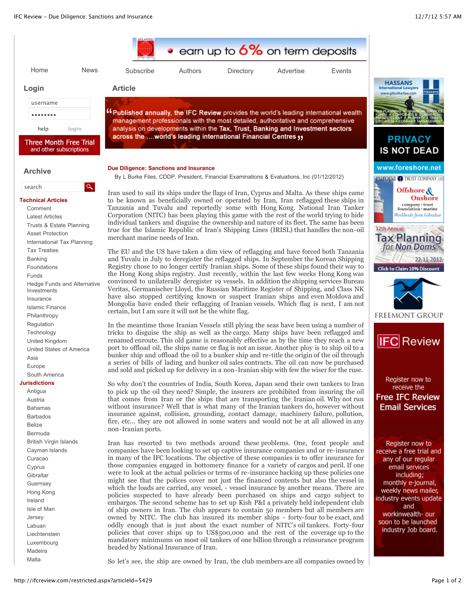